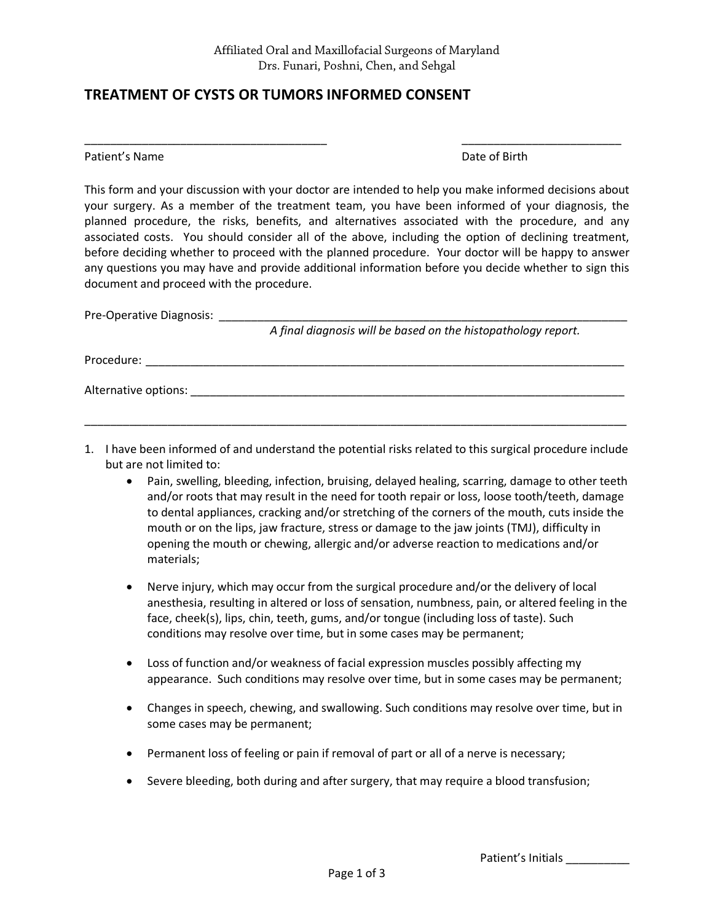\_\_\_\_\_\_\_\_\_\_\_\_\_\_\_\_\_\_\_\_\_\_\_\_\_\_\_\_\_\_\_\_\_\_\_\_\_\_ \_\_\_\_\_\_\_\_\_\_\_\_\_\_\_\_\_\_\_\_\_\_\_\_\_

## **TREATMENT OF CYSTS OR TUMORS INFORMED CONSENT**

Patient's Name **Date of Birth** 

This form and your discussion with your doctor are intended to help you make informed decisions about your surgery. As a member of the treatment team, you have been informed of your diagnosis, the planned procedure, the risks, benefits, and alternatives associated with the procedure, and any associated costs. You should consider all of the above, including the option of declining treatment, before deciding whether to proceed with the planned procedure. Your doctor will be happy to answer any questions you may have and provide additional information before you decide whether to sign this document and proceed with the procedure.

| Pre-Operative Diagnosis: |                                                               |
|--------------------------|---------------------------------------------------------------|
|                          | A final diagnosis will be based on the histopathology report. |
| Procedure:               |                                                               |
| Alternative options:     |                                                               |

1. I have been informed of and understand the potential risks related to this surgical procedure include but are not limited to:

\_\_\_\_\_\_\_\_\_\_\_\_\_\_\_\_\_\_\_\_\_\_\_\_\_\_\_\_\_\_\_\_\_\_\_\_\_\_\_\_\_\_\_\_\_\_\_\_\_\_\_\_\_\_\_\_\_\_\_\_\_\_\_\_\_\_\_\_\_\_\_\_\_\_\_\_\_\_\_\_\_\_\_\_\_

- Pain, swelling, bleeding, infection, bruising, delayed healing, scarring, damage to other teeth and/or roots that may result in the need for tooth repair or loss, loose tooth/teeth, damage to dental appliances, cracking and/or stretching of the corners of the mouth, cuts inside the mouth or on the lips, jaw fracture, stress or damage to the jaw joints (TMJ), difficulty in opening the mouth or chewing, allergic and/or adverse reaction to medications and/or materials;
- Nerve injury, which may occur from the surgical procedure and/or the delivery of local anesthesia, resulting in altered or loss of sensation, numbness, pain, or altered feeling in the face, cheek(s), lips, chin, teeth, gums, and/or tongue (including loss of taste). Such conditions may resolve over time, but in some cases may be permanent;
- Loss of function and/or weakness of facial expression muscles possibly affecting my appearance. Such conditions may resolve over time, but in some cases may be permanent;
- Changes in speech, chewing, and swallowing. Such conditions may resolve over time, but in some cases may be permanent;
- Permanent loss of feeling or pain if removal of part or all of a nerve is necessary;
- Severe bleeding, both during and after surgery, that may require a blood transfusion;

Patient's Initials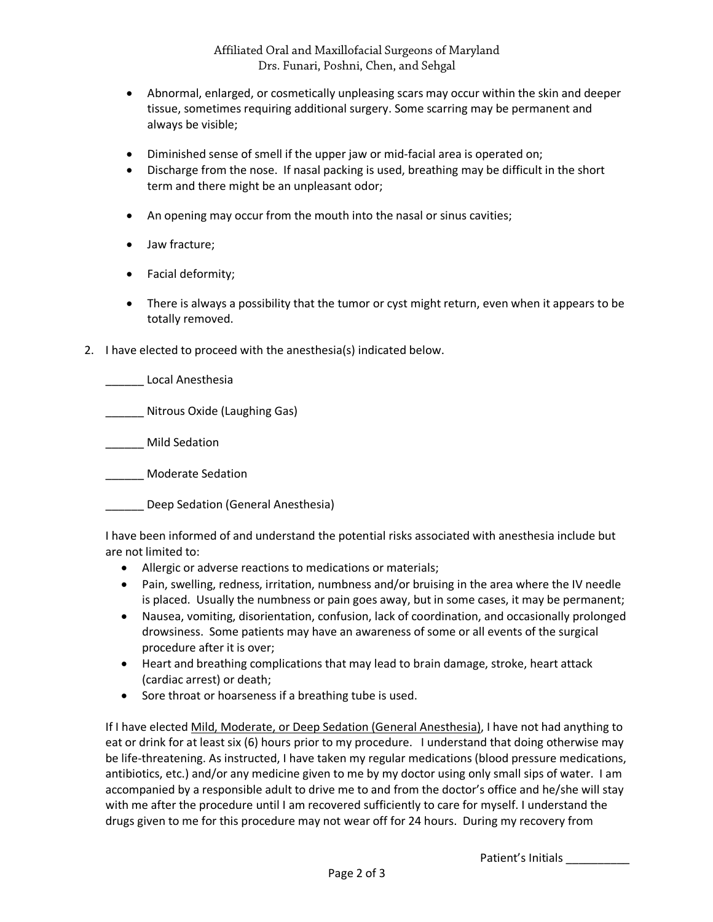- Abnormal, enlarged, or cosmetically unpleasing scars may occur within the skin and deeper tissue, sometimes requiring additional surgery. Some scarring may be permanent and always be visible;
- Diminished sense of smell if the upper jaw or mid-facial area is operated on;
- Discharge from the nose. If nasal packing is used, breathing may be difficult in the short term and there might be an unpleasant odor;
- An opening may occur from the mouth into the nasal or sinus cavities;
- Jaw fracture;
- Facial deformity;
- There is always a possibility that the tumor or cyst might return, even when it appears to be totally removed.
- 2. I have elected to proceed with the anesthesia(s) indicated below.

\_\_\_\_\_\_ Local Anesthesia

\_\_\_\_\_\_ Nitrous Oxide (Laughing Gas)

\_\_\_\_\_\_ Mild Sedation

\_\_\_\_\_\_ Moderate Sedation

\_\_\_\_\_\_ Deep Sedation (General Anesthesia)

I have been informed of and understand the potential risks associated with anesthesia include but are not limited to:

- Allergic or adverse reactions to medications or materials;
- Pain, swelling, redness, irritation, numbness and/or bruising in the area where the IV needle is placed. Usually the numbness or pain goes away, but in some cases, it may be permanent;
- Nausea, vomiting, disorientation, confusion, lack of coordination, and occasionally prolonged drowsiness. Some patients may have an awareness of some or all events of the surgical procedure after it is over;
- Heart and breathing complications that may lead to brain damage, stroke, heart attack (cardiac arrest) or death;
- Sore throat or hoarseness if a breathing tube is used.

If I have elected Mild, Moderate, or Deep Sedation (General Anesthesia), I have not had anything to eat or drink for at least six (6) hours prior to my procedure. I understand that doing otherwise may be life-threatening. As instructed, I have taken my regular medications (blood pressure medications, antibiotics, etc.) and/or any medicine given to me by my doctor using only small sips of water. I am accompanied by a responsible adult to drive me to and from the doctor's office and he/she will stay with me after the procedure until I am recovered sufficiently to care for myself. I understand the drugs given to me for this procedure may not wear off for 24 hours. During my recovery from

Patient's Initials \_\_\_\_\_\_\_\_\_\_